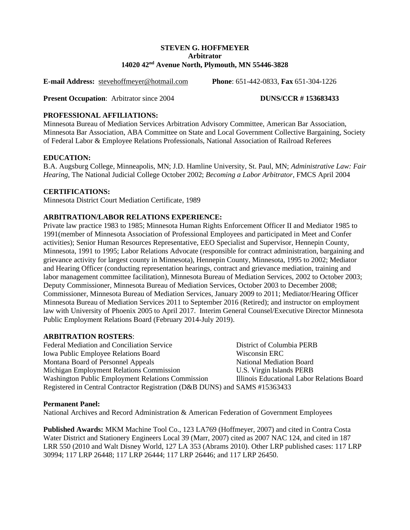#### **STEVEN G. HOFFMEYER Arbitrator 14020 42nd Avenue North, Plymouth, MN 55446-3828**

**E-mail Address:** [stevehoffmeyer@hotmail.com](mailto:stevehoffmeyer@hotmail.com) **Phone**: 651-442-0833, **Fax** 651-304-1226

**Present Occupation**: Arbitrator since 2004 **DUNS/CCR # 153683433** 

# **PROFESSIONAL AFFILIATIONS:**

Minnesota Bureau of Mediation Services Arbitration Advisory Committee, American Bar Association, Minnesota Bar Association, ABA Committee on State and Local Government Collective Bargaining, Society of Federal Labor & Employee Relations Professionals, National Association of Railroad Referees

### **EDUCATION:**

B.A. Augsburg College, Minneapolis, MN; J.D. Hamline University, St. Paul, MN; *Administrative Law: Fair Hearing*, The National Judicial College October 2002; *Becoming a Labor Arbitrator*, FMCS April 2004

# **CERTIFICATIONS:**

Minnesota District Court Mediation Certificate, 1989

# **ARBITRATION/LABOR RELATIONS EXPERIENCE:**

Private law practice 1983 to 1985; Minnesota Human Rights Enforcement Officer II and Mediator 1985 to 1991(member of Minnesota Association of Professional Employees and participated in Meet and Confer activities); Senior Human Resources Representative, EEO Specialist and Supervisor, Hennepin County, Minnesota, 1991 to 1995; Labor Relations Advocate (responsible for contract administration, bargaining and grievance activity for largest county in Minnesota), Hennepin County, Minnesota, 1995 to 2002; Mediator and Hearing Officer (conducting representation hearings, contract and grievance mediation, training and labor management committee facilitation), Minnesota Bureau of Mediation Services, 2002 to October 2003; Deputy Commissioner, Minnesota Bureau of Mediation Services, October 2003 to December 2008; Commissioner, Minnesota Bureau of Mediation Services, January 2009 to 2011; Mediator/Hearing Officer Minnesota Bureau of Mediation Services 2011 to September 2016 (Retired); and instructor on employment law with University of Phoenix 2005 to April 2017. Interim General Counsel/Executive Director Minnesota Public Employment Relations Board (February 2014-July 2019).

### **ARBITRATION ROSTERS**:

Federal Mediation and Conciliation Service District of Columbia PERB Iowa Public Employee Relations Board Wisconsin ERC Montana Board of Personnel Appeals National Mediation Board Michigan Employment Relations Commission U.S. Virgin Islands PERB Washington Public Employment Relations Commission Illinois Educational Labor Relations Board Registered in Central Contractor Registration (D&B DUNS) and SAMS #15363433

### **Permanent Panel:**

National Archives and Record Administration & American Federation of Government Employees

**Published Awards:** MKM Machine Tool Co., 123 LA769 (Hoffmeyer, 2007) and cited in Contra Costa Water District and Stationery Engineers Local 39 (Marr, 2007) cited as 2007 NAC 124, and cited in 187 LRR 550 (2010 and Walt Disney World, 127 LA 353 (Abrams 2010). Other LRP published cases: 117 LRP 30994; 117 LRP 26448; 117 LRP 26444; 117 LRP 26446; and 117 LRP 26450.